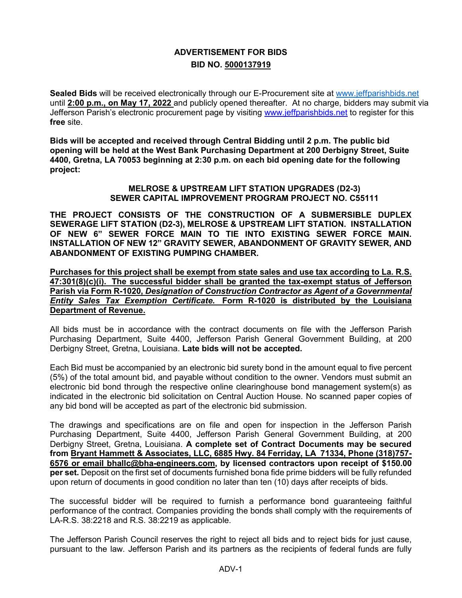## **ADVERTISEMENT FOR BIDS BID NO. 5000137919**

**Sealed Bids** will be received electronically through our E-Procurement site at [www.jeffparishbids.net](http://www.jeffparishbids.net/) until **2:00 p.m., on May 17, 2022** and publicly opened thereafter. At no charge, bidders may submit via Jefferson Parish's electronic procurement page by visiting [www.jeffparishbids.net](http://www.jeffparishbids.net/) to register for this **free** site.

**Bids will be accepted and received through Central Bidding until 2 p.m. The public bid opening will be held at the West Bank Purchasing Department at 200 Derbigny Street, Suite 4400, Gretna, LA 70053 beginning at 2:30 p.m. on each bid opening date for the following project:**

> **MELROSE & UPSTREAM LIFT STATION UPGRADES (D2-3) SEWER CAPITAL IMPROVEMENT PROGRAM PROJECT NO. C55111**

**THE PROJECT CONSISTS OF THE CONSTRUCTION OF A SUBMERSIBLE DUPLEX SEWERAGE LIFT STATION (D2-3), MELROSE & UPSTREAM LIFT STATION. INSTALLATION OF NEW 6" SEWER FORCE MAIN TO TIE INTO EXISTING SEWER FORCE MAIN. INSTALLATION OF NEW 12" GRAVITY SEWER, ABANDONMENT OF GRAVITY SEWER, AND ABANDONMENT OF EXISTING PUMPING CHAMBER.** 

**Purchases for this project shall be exempt from state sales and use tax according to La. R.S. 47:301(8)(c)(i). The successful bidder shall be granted the tax-exempt status of Jefferson Parish via Form R-1020,** *Designation of Construction Contractor as Agent of a Governmental Entity Sales Tax Exemption Certificate***. Form R-1020 is distributed by the Louisiana Department of Revenue.**

All bids must be in accordance with the contract documents on file with the Jefferson Parish Purchasing Department, Suite 4400, Jefferson Parish General Government Building, at 200 Derbigny Street, Gretna, Louisiana. **Late bids will not be accepted.**

Each Bid must be accompanied by an electronic bid surety bond in the amount equal to five percent (5%) of the total amount bid, and payable without condition to the owner. Vendors must submit an electronic bid bond through the respective online clearinghouse bond management system(s) as indicated in the electronic bid solicitation on Central Auction House. No scanned paper copies of any bid bond will be accepted as part of the electronic bid submission.

The drawings and specifications are on file and open for inspection in the Jefferson Parish Purchasing Department, Suite 4400, Jefferson Parish General Government Building, at 200 Derbigny Street, Gretna, Louisiana. **A complete set of Contract Documents may be secured from Bryant Hammett & Associates, LLC, 6885 Hwy. 84 Ferriday, LA 71334, Phone (318)757- 6576 or email bhallc@bha-engineers.com, by licensed contractors upon receipt of \$150.00 per set.** Deposit on the first set of documents furnished bona fide prime bidders will be fully refunded upon return of documents in good condition no later than ten (10) days after receipts of bids.

The successful bidder will be required to furnish a performance bond guaranteeing faithful performance of the contract. Companies providing the bonds shall comply with the requirements of LA-R.S. 38:2218 and R.S. 38:2219 as applicable.

The Jefferson Parish Council reserves the right to reject all bids and to reject bids for just cause, pursuant to the law. Jefferson Parish and its partners as the recipients of federal funds are fully